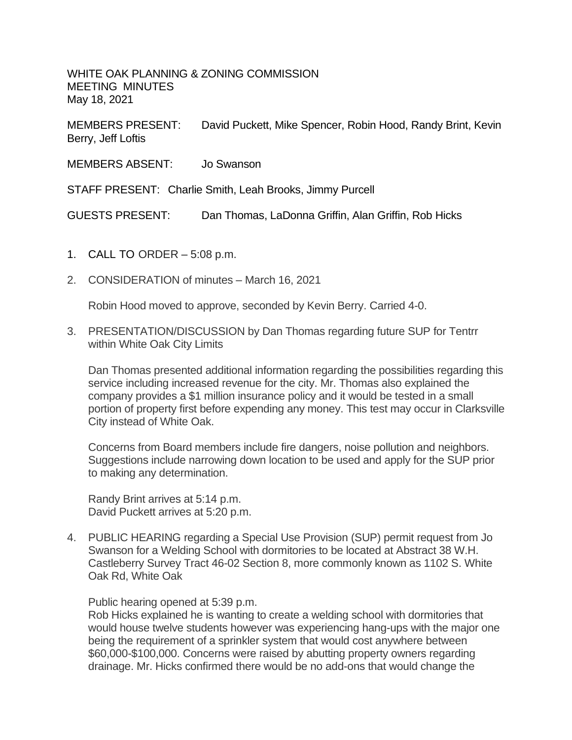WHITE OAK PLANNING & ZONING COMMISSION MEETING MINUTES May 18, 2021

MEMBERS PRESENT: David Puckett, Mike Spencer, Robin Hood, Randy Brint, Kevin Berry, Jeff Loftis

MEMBERS ABSENT: Jo Swanson

STAFF PRESENT: Charlie Smith, Leah Brooks, Jimmy Purcell

GUESTS PRESENT: Dan Thomas, LaDonna Griffin, Alan Griffin, Rob Hicks

- 1. CALL TO ORDER 5:08 p.m.
- 2. CONSIDERATION of minutes March 16, 2021

Robin Hood moved to approve, seconded by Kevin Berry. Carried 4-0.

3. PRESENTATION/DISCUSSION by Dan Thomas regarding future SUP for Tentrr within White Oak City Limits

Dan Thomas presented additional information regarding the possibilities regarding this service including increased revenue for the city. Mr. Thomas also explained the company provides a \$1 million insurance policy and it would be tested in a small portion of property first before expending any money. This test may occur in Clarksville City instead of White Oak.

Concerns from Board members include fire dangers, noise pollution and neighbors. Suggestions include narrowing down location to be used and apply for the SUP prior to making any determination.

Randy Brint arrives at 5:14 p.m. David Puckett arrives at 5:20 p.m.

4. PUBLIC HEARING regarding a Special Use Provision (SUP) permit request from Jo Swanson for a Welding School with dormitories to be located at Abstract 38 W.H. Castleberry Survey Tract 46-02 Section 8, more commonly known as 1102 S. White Oak Rd, White Oak

Public hearing opened at 5:39 p.m.

Rob Hicks explained he is wanting to create a welding school with dormitories that would house twelve students however was experiencing hang-ups with the major one being the requirement of a sprinkler system that would cost anywhere between \$60,000-\$100,000. Concerns were raised by abutting property owners regarding drainage. Mr. Hicks confirmed there would be no add-ons that would change the